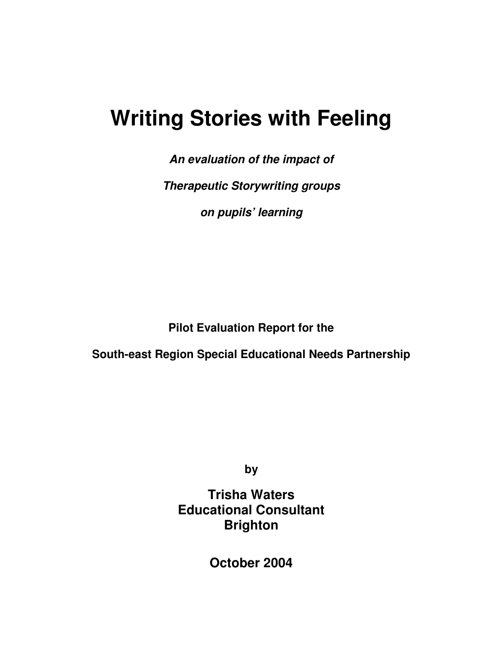# **Writing Stories with Feeling**

*An evaluation of the impact of Therapeutic Storywriting groups on pupils' learning*

**Pilot Evaluation Report for the**

**South-east Region Special Educational Needs Partnership**

**by**

**Trisha Waters Educational Consultant Brighton**

**October 2004**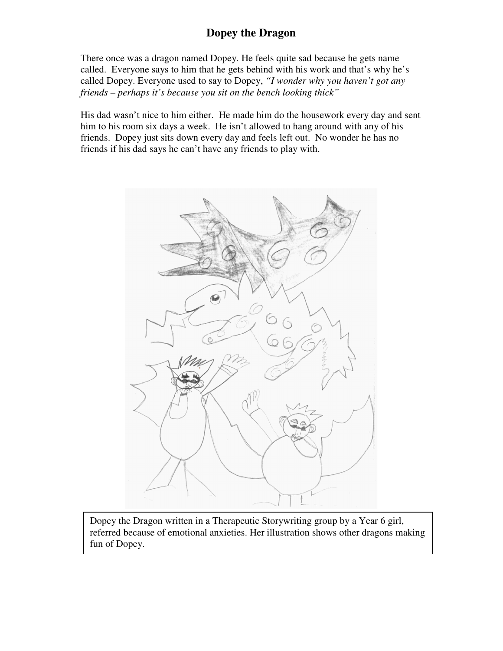# **Dopey the Dragon**

There once was a dragon named Dopey. He feels quite sad because he gets name called. Everyone says to him that he gets behind with his work and that's why he's called Dopey. Everyone used to say to Dopey, *"I wonder why you haven't got any friends – perhaps it's because you sit on the bench looking thick"*

His dad wasn't nice to him either. He made him do the housework every day and sent him to his room six days a week. He isn't allowed to hang around with any of his friends. Dopey just sits down every day and feels left out. No wonder he has no friends if his dad says he can't have any friends to play with.



Dopey the Dragon written in a Therapeutic Storywriting group by a Year 6 girl, referred because of emotional anxieties. Her illustration shows other dragons making fun of Dopey.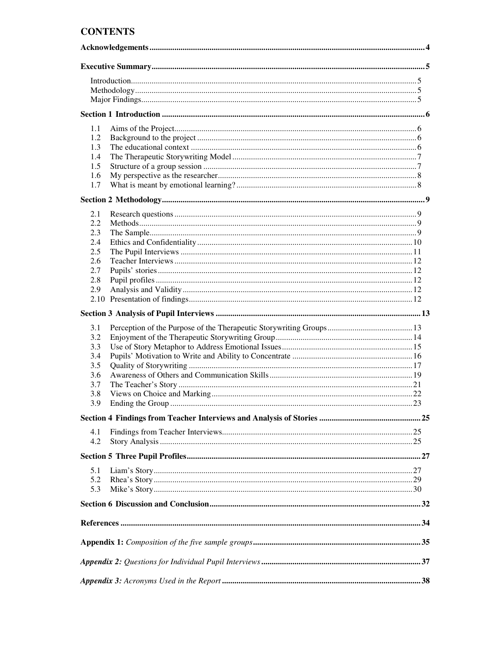### **CONTENTS**

| 1.1        |  |  |  |
|------------|--|--|--|
| 1.2        |  |  |  |
| 1.3        |  |  |  |
| 1.4        |  |  |  |
| 1.5        |  |  |  |
| 1.6        |  |  |  |
| 1.7        |  |  |  |
|            |  |  |  |
| 2.1        |  |  |  |
| 2.2        |  |  |  |
| 2.3        |  |  |  |
| 2.4        |  |  |  |
| 2.5        |  |  |  |
| 2.6<br>2.7 |  |  |  |
| 2.8        |  |  |  |
| 2.9        |  |  |  |
|            |  |  |  |
|            |  |  |  |
|            |  |  |  |
| 3.1<br>3.2 |  |  |  |
| 3.3        |  |  |  |
| 3.4        |  |  |  |
| 3.5        |  |  |  |
| 3.6        |  |  |  |
| 3.7        |  |  |  |
| 3.8        |  |  |  |
| 3.9        |  |  |  |
|            |  |  |  |
| 4.1        |  |  |  |
| 4.2        |  |  |  |
|            |  |  |  |
| 5.1        |  |  |  |
| 5.2        |  |  |  |
| 5.3        |  |  |  |
|            |  |  |  |
|            |  |  |  |
|            |  |  |  |
|            |  |  |  |
|            |  |  |  |
|            |  |  |  |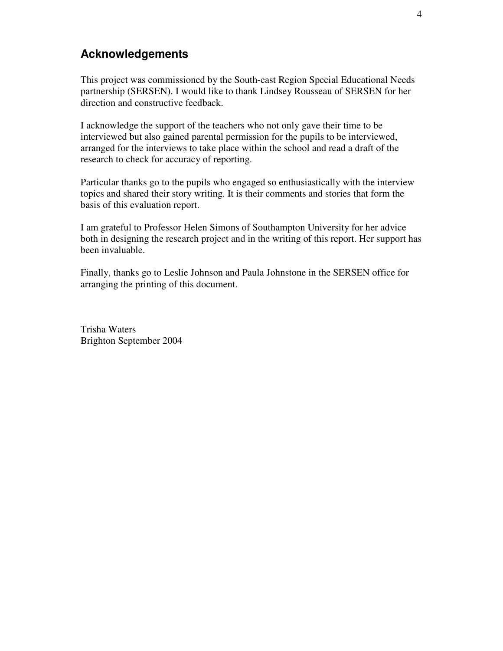# **Acknowledgements**

This project was commissioned by the South-east Region Special Educational Needs partnership (SERSEN). I would like to thank Lindsey Rousseau of SERSEN for her direction and constructive feedback.

I acknowledge the support of the teachers who not only gave their time to be interviewed but also gained parental permission for the pupils to be interviewed, arranged for the interviews to take place within the school and read a draft of the research to check for accuracy of reporting.

Particular thanks go to the pupils who engaged so enthusiastically with the interview topics and shared their story writing. It is their comments and stories that form the basis of this evaluation report.

I am grateful to Professor Helen Simons of Southampton University for her advice both in designing the research project and in the writing of this report. Her support has been invaluable.

Finally, thanks go to Leslie Johnson and Paula Johnstone in the SERSEN office for arranging the printing of this document.

Trisha Waters Brighton September 2004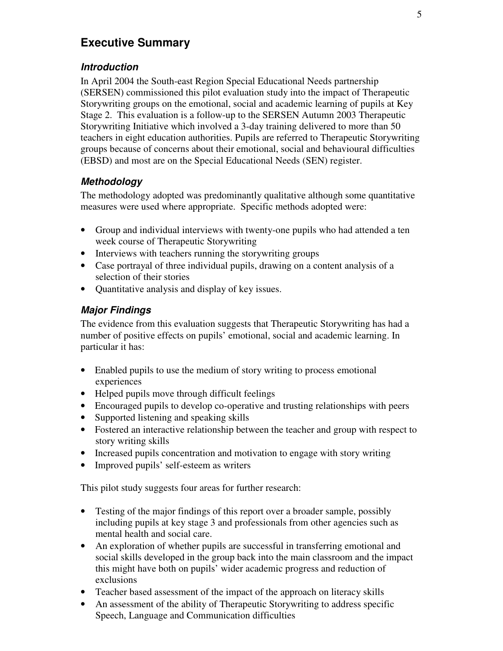# **Executive Summary**

### *Introduction*

In April 2004 the South-east Region Special Educational Needs partnership (SERSEN) commissioned this pilot evaluation study into the impact of Therapeutic Storywriting groups on the emotional, social and academic learning of pupils at Key Stage 2. This evaluation is a follow-up to the SERSEN Autumn 2003 Therapeutic Storywriting Initiative which involved a 3-day training delivered to more than 50 teachers in eight education authorities. Pupils are referred to Therapeutic Storywriting groups because of concerns about their emotional, social and behavioural difficulties (EBSD) and most are on the Special Educational Needs (SEN) register.

### *Methodology*

The methodology adopted was predominantly qualitative although some quantitative measures were used where appropriate. Specific methods adopted were:

- Group and individual interviews with twenty-one pupils who had attended a ten week course of Therapeutic Storywriting
- Interviews with teachers running the story writing groups
- Case portrayal of three individual pupils, drawing on a content analysis of a selection of their stories
- Quantitative analysis and display of key issues.

### *Major Findings*

The evidence from this evaluation suggests that Therapeutic Storywriting has had a number of positive effects on pupils' emotional, social and academic learning. In particular it has:

- Enabled pupils to use the medium of story writing to process emotional experiences
- Helped pupils move through difficult feelings
- Encouraged pupils to develop co-operative and trusting relationships with peers
- Supported listening and speaking skills
- Fostered an interactive relationship between the teacher and group with respect to story writing skills
- Increased pupils concentration and motivation to engage with story writing
- Improved pupils' self-esteem as writers

This pilot study suggests four areas for further research:

- Testing of the major findings of this report over a broader sample, possibly including pupils at key stage 3 and professionals from other agencies such as mental health and social care.
- An exploration of whether pupils are successful in transferring emotional and social skills developed in the group back into the main classroom and the impact this might have both on pupils' wider academic progress and reduction of exclusions
- Teacher based assessment of the impact of the approach on literacy skills
- An assessment of the ability of Therapeutic Storywriting to address specific Speech, Language and Communication difficulties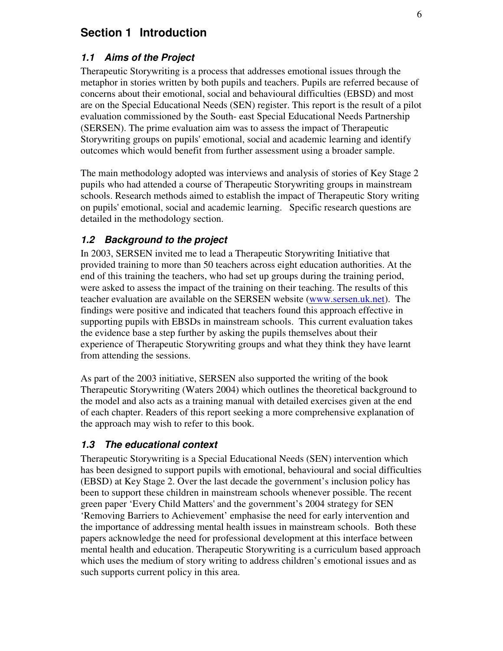# **Section 1 Introduction**

### *1.1 Aims of the Project*

Therapeutic Storywriting is a process that addresses emotional issues through the metaphor in stories written by both pupils and teachers. Pupils are referred because of concerns about their emotional, social and behavioural difficulties (EBSD) and most are on the Special Educational Needs (SEN) register. This report is the result of a pilot evaluation commissioned by the South- east Special Educational Needs Partnership (SERSEN). The prime evaluation aim was to assess the impact of Therapeutic Storywriting groups on pupils'emotional, social and academic learning and identify outcomes which would benefit from further assessment using a broader sample.

The main methodology adopted was interviews and analysis of stories of Key Stage 2 pupils who had attended a course of Therapeutic Storywriting groups in mainstream schools. Research methods aimed to establish the impact of Therapeutic Story writing on pupils'emotional, social and academic learning. Specific research questions are detailed in the methodology section.

# *1.2 Background to the project*

In 2003, SERSEN invited me to lead a Therapeutic Storywriting Initiative that provided training to more than 50 teachers across eight education authorities. At the end of this training the teachers, who had set up groups during the training period, were asked to assess the impact of the training on their teaching. The results of this teacher evaluation are available on the SERSEN website (www.sersen.uk.net). The findings were positive and indicated that teachers found this approach effective in supporting pupils with EBSDs in mainstream schools. This current evaluation takes the evidence base a step further by asking the pupils themselves about their experience of Therapeutic Storywriting groups and what they think they have learnt from attending the sessions.

As part of the 2003 initiative, SERSEN also supported the writing of the book Therapeutic Storywriting (Waters 2004) which outlines the theoretical background to the model and also acts as a training manual with detailed exercises given at the end of each chapter. Readers of this report seeking a more comprehensive explanation of the approach may wish to refer to this book.

# *1.3 The educational context*

Therapeutic Storywriting is a Special Educational Needs (SEN) intervention which has been designed to support pupils with emotional, behavioural and social difficulties (EBSD) at Key Stage 2. Over the last decade the government's inclusion policy has been to support these children in mainstream schools whenever possible. The recent green paper 'Every Child Matters'and the government's 2004 strategy for SEN 'Removing Barriers to Achievement' emphasise the need for early intervention and the importance of addressing mental health issues in mainstream schools. Both these papers acknowledge the need for professional development at this interface between mental health and education. Therapeutic Storywriting is a curriculum based approach which uses the medium of story writing to address children's emotional issues and as such supports current policy in this area.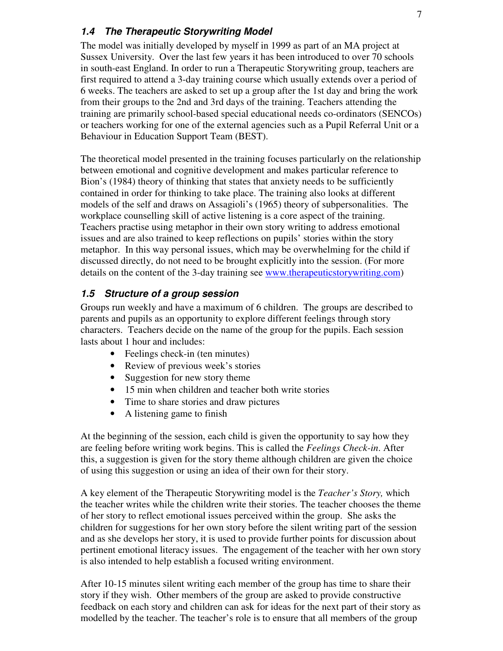### *1.4 The Therapeutic Storywriting Model*

The model was initially developed by myself in 1999 as part of an MA project at Sussex University. Over the last few years it has been introduced to over 70 schools in south-east England. In order to run a Therapeutic Storywriting group, teachers are first required to attend a 3-day training course which usually extends over a period of 6 weeks. The teachers are asked to set up a group after the 1st day and bring the work from their groups to the 2nd and 3rd days of the training. Teachers attending the training are primarily school-based special educational needs co-ordinators (SENCOs) or teachers working for one of the external agencies such as a Pupil Referral Unit or a Behaviour in Education Support Team (BEST).

The theoretical model presented in the training focuses particularly on the relationship between emotional and cognitive development and makes particular reference to Bion's (1984) theory of thinking that states that anxiety needs to be sufficiently contained in order for thinking to take place. The training also looks at different models of the self and draws on Assagioli's (1965) theory of subpersonalities. The workplace counselling skill of active listening is a core aspect of the training. Teachers practise using metaphor in their own story writing to address emotional issues and are also trained to keep reflections on pupils' stories within the story metaphor. In this way personal issues, which may be overwhelming for the child if discussed directly, do not need to be brought explicitly into the session. (For more details on the content of the 3-day training see www.therapeuticstorywriting.com)

# *1.5 Structure of a group session*

Groups run weekly and have a maximum of 6 children. The groups are described to parents and pupils as an opportunity to explore different feelings through story characters. Teachers decide on the name of the group for the pupils. Each session lasts about 1 hour and includes:

- Feelings check-in (ten minutes)
- Review of previous week's stories
- Suggestion for new story theme
- 15 min when children and teacher both write stories
- Time to share stories and draw pictures
- A listening game to finish

At the beginning of the session, each child is given the opportunity to say how they are feeling before writing work begins. This is called the *Feelings Check-in*. After this, a suggestion is given for the story theme although children are given the choice of using this suggestion or using an idea of their own for their story.

A key element of the Therapeutic Storywriting model is the *Teacher's Story,* which the teacher writes while the children write their stories. The teacher chooses the theme of her story to reflect emotional issues perceived within the group. She asks the children for suggestions for her own story before the silent writing part of the session and as she develops her story, it is used to provide further points for discussion about pertinent emotional literacy issues. The engagement of the teacher with her own story is also intended to help establish a focused writing environment.

After 10-15 minutes silent writing each member of the group has time to share their story if they wish. Other members of the group are asked to provide constructive feedback on each story and children can ask for ideas for the next part of their story as modelled by the teacher. The teacher's role is to ensure that all members of the group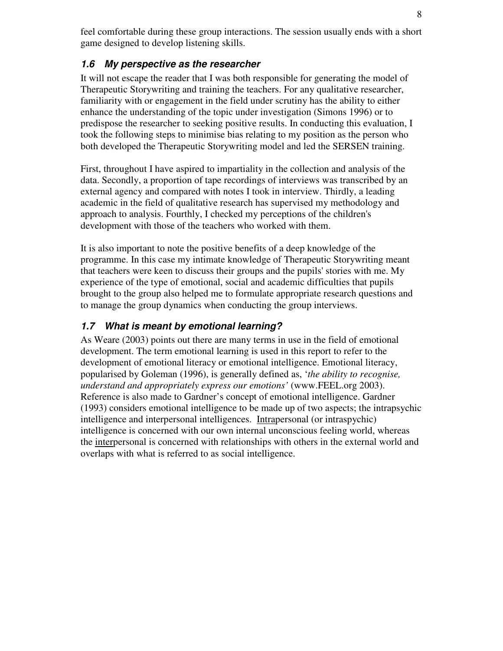feel comfortable during these group interactions. The session usually ends with a short game designed to develop listening skills.

### *1.6 My perspective as the researcher*

It will not escape the reader that I was both responsible for generating the model of Therapeutic Storywriting and training the teachers. For any qualitative researcher, familiarity with or engagement in the field under scrutiny has the ability to either enhance the understanding of the topic under investigation (Simons 1996) or to predispose the researcher to seeking positive results. In conducting this evaluation, I took the following steps to minimise bias relating to my position as the person who both developed the Therapeutic Storywriting model and led the SERSEN training.

First, throughout I have aspired to impartiality in the collection and analysis of the data. Secondly, a proportion of tape recordings of interviews was transcribed by an external agency and compared with notes I took in interview. Thirdly, a leading academic in the field of qualitative research has supervised my methodology and approach to analysis. Fourthly, I checked my perceptions of the children's development with those of the teachers who worked with them.

It is also important to note the positive benefits of a deep knowledge of the programme. In this case my intimate knowledge of Therapeutic Storywriting meant that teachers were keen to discuss their groups and the pupils'stories with me. My experience of the type of emotional, social and academic difficulties that pupils brought to the group also helped me to formulate appropriate research questions and to manage the group dynamics when conducting the group interviews.

### *1.7 What is meant by emotional learning?*

As Weare (2003) points out there are many terms in use in the field of emotional development. The term emotional learning is used in this report to refer to the development of emotional literacy or emotional intelligence. Emotional literacy, popularised by Goleman (1996), is generally defined as, '*the ability to recognise, understand and appropriately express our emotions'* (www.FEEL.org 2003). Reference is also made to Gardner's concept of emotional intelligence. Gardner (1993) considers emotional intelligence to be made up of two aspects; the intrapsychic intelligence and interpersonal intelligences. Intrapersonal (or intraspychic) intelligence is concerned with our own internal unconscious feeling world, whereas the interpersonal is concerned with relationships with others in the external world and overlaps with what is referred to as social intelligence.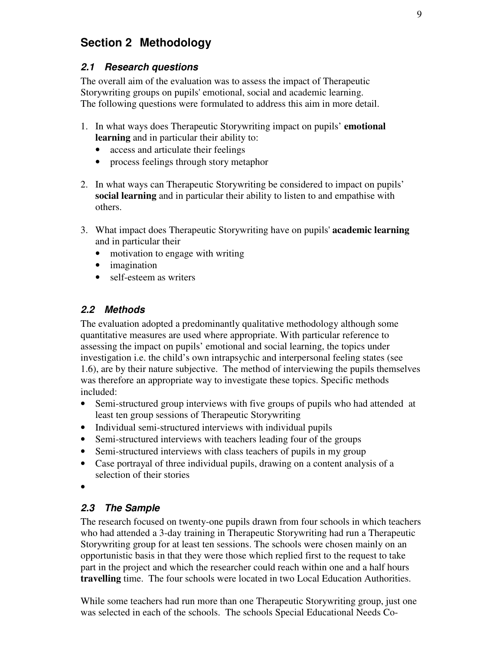# **Section 2 Methodology**

### *2.1 Research questions*

The overall aim of the evaluation was to assess the impact of Therapeutic Storywriting groups on pupils'emotional, social and academic learning. The following questions were formulated to address this aim in more detail.

- 1. In what ways does Therapeutic Storywriting impact on pupils' **emotional learning** and in particular their ability to:
	- access and articulate their feelings
	- process feelings through story metaphor
- 2. In what ways can Therapeutic Storywriting be considered to impact on pupils' **social learning** and in particular their ability to listen to and empathise with others.
- 3. What impact does Therapeutic Storywriting have on pupils'**academic learning** and in particular their
	- motivation to engage with writing
	- imagination
	- self-esteem as writers

### *2.2 Methods*

The evaluation adopted a predominantly qualitative methodology although some quantitative measures are used where appropriate. With particular reference to assessing the impact on pupils' emotional and social learning, the topics under investigation i.e. the child's own intrapsychic and interpersonal feeling states (see 1.6), are by their nature subjective. The method of interviewing the pupils themselves was therefore an appropriate way to investigate these topics. Specific methods included:

- Semi-structured group interviews with five groups of pupils who had attended at least ten group sessions of Therapeutic Storywriting
- Individual semi-structured interviews with individual pupils
- Semi-structured interviews with teachers leading four of the groups
- Semi-structured interviews with class teachers of pupils in my group
- Case portrayal of three individual pupils, drawing on a content analysis of a selection of their stories
- •

# *2.3 The Sample*

The research focused on twenty-one pupils drawn from four schools in which teachers who had attended a 3-day training in Therapeutic Storywriting had run a Therapeutic Storywriting group for at least ten sessions. The schools were chosen mainly on an opportunistic basis in that they were those which replied first to the request to take part in the project and which the researcher could reach within one and a half hours **travelling** time. The four schools were located in two Local Education Authorities.

While some teachers had run more than one Therapeutic Storywriting group, just one was selected in each of the schools. The schools Special Educational Needs Co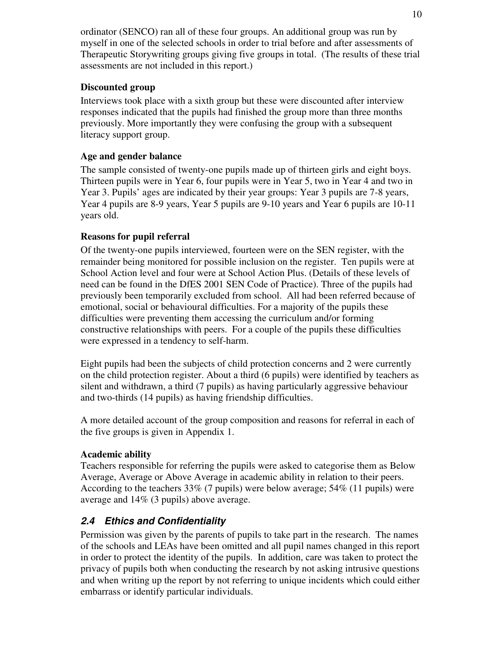ordinator (SENCO) ran all of these four groups. An additional group was run by myself in one of the selected schools in order to trial before and after assessments of Therapeutic Storywriting groups giving five groups in total. (The results of these trial assessments are not included in this report.)

### **Discounted group**

Interviews took place with a sixth group but these were discounted after interview responses indicated that the pupils had finished the group more than three months previously. More importantly they were confusing the group with a subsequent literacy support group.

### **Age and gender balance**

The sample consisted of twenty-one pupils made up of thirteen girls and eight boys. Thirteen pupils were in Year 6, four pupils were in Year 5, two in Year 4 and two in Year 3. Pupils' ages are indicated by their year groups: Year 3 pupils are 7-8 years, Year 4 pupils are 8-9 years, Year 5 pupils are 9-10 years and Year 6 pupils are 10-11 years old.

### **Reasons for pupil referral**

Of the twenty-one pupils interviewed, fourteen were on the SEN register, with the remainder being monitored for possible inclusion on the register. Ten pupils were at School Action level and four were at School Action Plus. (Details of these levels of need can be found in the DfES 2001 SEN Code of Practice). Three of the pupils had previously been temporarily excluded from school. All had been referred because of emotional, social or behavioural difficulties. For a majority of the pupils these difficulties were preventing them accessing the curriculum and/or forming constructive relationships with peers. For a couple of the pupils these difficulties were expressed in a tendency to self-harm.

Eight pupils had been the subjects of child protection concerns and 2 were currently on the child protection register. About a third (6 pupils) were identified by teachers as silent and withdrawn, a third (7 pupils) as having particularly aggressive behaviour and two-thirds (14 pupils) as having friendship difficulties.

A more detailed account of the group composition and reasons for referral in each of the five groups is given in Appendix 1.

### **Academic ability**

Teachers responsible for referring the pupils were asked to categorise them as Below Average, Average or Above Average in academic ability in relation to their peers. According to the teachers 33% (7 pupils) were below average; 54% (11 pupils) were average and 14% (3 pupils) above average.

# *2.4 Ethics and Confidentiality*

Permission was given by the parents of pupils to take part in the research. The names of the schools and LEAs have been omitted and all pupil names changed in this report in order to protect the identity of the pupils. In addition, care was taken to protect the privacy of pupils both when conducting the research by not asking intrusive questions and when writing up the report by not referring to unique incidents which could either embarrass or identify particular individuals.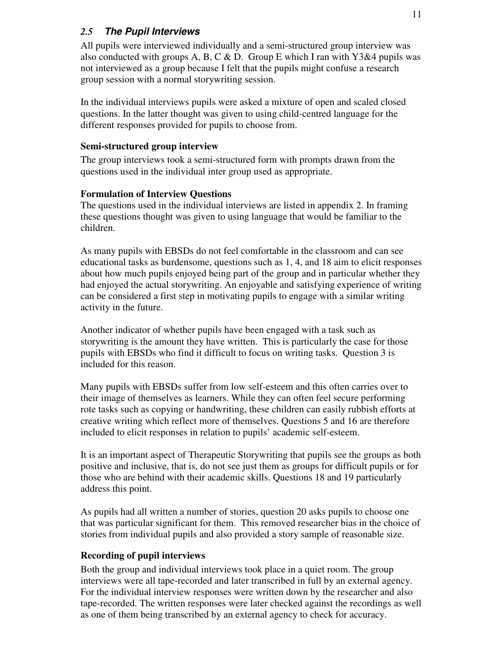#### *2.5 The Pupil Interviews*

All pupils were interviewed individually and a semi-structured group interview was also conducted with groups A, B, C & D. Group E which I ran with Y3&4 pupils was not interviewed as a group because I felt that the pupils might confuse a research group session with a normal storywriting session.

In the individual interviews pupils were asked a mixture of open and scaled closed questions. In the latter thought was given to using child-centred language for the different responses provided for pupils to choose from.

#### **Semi-structured group interview**

The group interviews took a semi-structured form with prompts drawn from the questions used in the individual inter group used as appropriate.

### **Formulation of Interview Questions**

The questions used in the individual interviews are listed in appendix 2. In framing these questions thought was given to using language that would be familiar to the children.

As many pupils with EBSDs do not feel comfortable in the classroom and can see educational tasks as burdensome, questions such as 1, 4, and 18 aim to elicit responses about how much pupils enjoyed being part of the group and in particular whether they had enjoyed the actual storywriting. An enjoyable and satisfying experience of writing can be considered a first step in motivating pupils to engage with a similar writing activity in the future.

Another indicator of whether pupils have been engaged with a task such as storywriting is the amount they have written. This is particularly the case for those pupils with EBSDs who find it difficult to focus on writing tasks. Question 3 is included for this reason.

Many pupils with EBSDs suffer from low self-esteem and this often carries over to their image of themselves as learners. While they can often feel secure performing rote tasks such as copying or handwriting, these children can easily rubbish efforts at creative writing which reflect more of themselves. Questions 5 and 16 are therefore included to elicit responses in relation to pupils' academic self-esteem.

It is an important aspect of Therapeutic Storywriting that pupils see the groups as both positive and inclusive, that is, do not see just them as groups for difficult pupils or for those who are behind with their academic skills. Questions 18 and 19 particularly address this point.

As pupils had all written a number of stories, question 20 asks pupils to choose one that was particular significant for them. This removed researcher bias in the choice of stories from individual pupils and also provided a story sample of reasonable size.

### **Recording of pupil interviews**

Both the group and individual interviews took place in a quiet room. The group interviews were all tape-recorded and later transcribed in full by an external agency. For the individual interview responses were written down by the researcher and also tape-recorded. The written responses were later checked against the recordings as well as one of them being transcribed by an external agency to check for accuracy.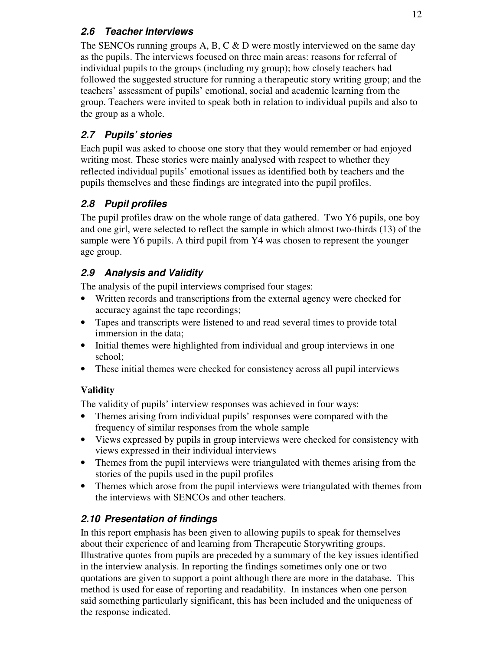# *2.6 Teacher Interviews*

The SENCOs running groups A, B, C & D were mostly interviewed on the same day as the pupils. The interviews focused on three main areas: reasons for referral of individual pupils to the groups (including my group); how closely teachers had followed the suggested structure for running a therapeutic story writing group; and the teachers' assessment of pupils' emotional, social and academic learning from the group. Teachers were invited to speak both in relation to individual pupils and also to the group as a whole.

# *2.7 Pupils' stories*

Each pupil was asked to choose one story that they would remember or had enjoyed writing most. These stories were mainly analysed with respect to whether they reflected individual pupils' emotional issues as identified both by teachers and the pupils themselves and these findings are integrated into the pupil profiles.

# *2.8 Pupil profiles*

The pupil profiles draw on the whole range of data gathered. Two Y6 pupils, one boy and one girl, were selected to reflect the sample in which almost two-thirds (13) of the sample were Y6 pupils. A third pupil from Y4 was chosen to represent the younger age group.

# *2.9 Analysis and Validity*

The analysis of the pupil interviews comprised four stages:

- Written records and transcriptions from the external agency were checked for accuracy against the tape recordings;
- Tapes and transcripts were listened to and read several times to provide total immersion in the data;
- Initial themes were highlighted from individual and group interviews in one school;
- These initial themes were checked for consistency across all pupil interviews

# **Validity**

The validity of pupils' interview responses was achieved in four ways:

- Themes arising from individual pupils' responses were compared with the frequency of similar responses from the whole sample
- Views expressed by pupils in group interviews were checked for consistency with views expressed in their individual interviews
- Themes from the pupil interviews were triangulated with themes arising from the stories of the pupils used in the pupil profiles
- Themes which arose from the pupil interviews were triangulated with themes from the interviews with SENCOs and other teachers.

# *2.10 Presentation of findings*

In this report emphasis has been given to allowing pupils to speak for themselves about their experience of and learning from Therapeutic Storywriting groups. Illustrative quotes from pupils are preceded by a summary of the key issues identified in the interview analysis. In reporting the findings sometimes only one or two quotations are given to support a point although there are more in the database. This method is used for ease of reporting and readability. In instances when one person said something particularly significant, this has been included and the uniqueness of the response indicated.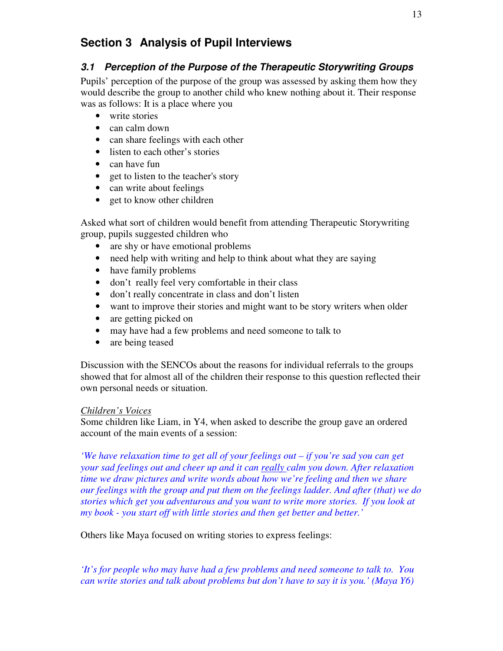# **Section 3 Analysis of Pupil Interviews**

### *3.1 Perception of the Purpose of the Therapeutic Storywriting Groups*

Pupils' perception of the purpose of the group was assessed by asking them how they would describe the group to another child who knew nothing about it. Their response was as follows: It is a place where you

- write stories
- can calm down
- can share feelings with each other
- listen to each other's stories
- can have fun
- get to listen to the teacher's story
- can write about feelings
- get to know other children

Asked what sort of children would benefit from attending Therapeutic Storywriting group, pupils suggested children who

- are shy or have emotional problems
- need help with writing and help to think about what they are saying
- have family problems
- don't really feel very comfortable in their class
- don't really concentrate in class and don't listen
- want to improve their stories and might want to be story writers when older
- are getting picked on
- may have had a few problems and need someone to talk to
- are being teased

Discussion with the SENCOs about the reasons for individual referrals to the groups showed that for almost all of the children their response to this question reflected their own personal needs or situation.

### *Children's Voices*

Some children like Liam, in Y4, when asked to describe the group gave an ordered account of the main events of a session:

*'We have relaxation time to get all of your feelings out – if you're sad you can get your sad feelings out and cheer up and it can really calm you down. After relaxation time we draw pictures and write words about how we're feeling and then we share our feelings with the group and put them on the feelings ladder. And after (that) we do stories which get you adventurous and you want to write more stories. If you look at my book - you start off with little stories and then get better and better.'*

Others like Maya focused on writing stories to express feelings:

*'It's for people who may have had a few problems and need someone to talk to. You can write stories and talk about problems but don't have to say it is you.' (Maya Y6)*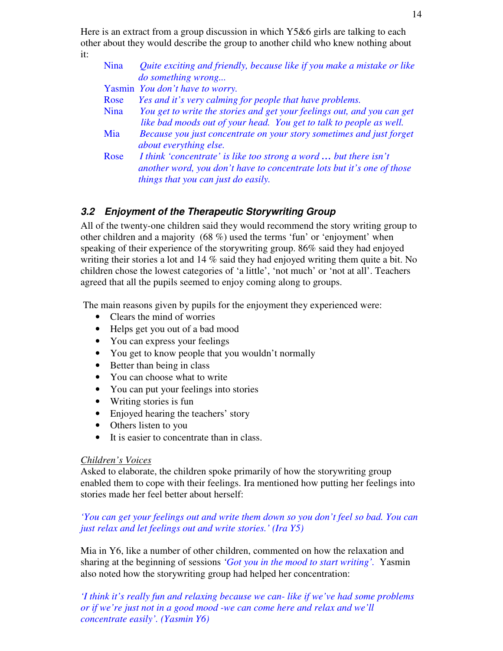Here is an extract from a group discussion in which Y5&6 girls are talking to each other about they would describe the group to another child who knew nothing about it:

| <b>Nina</b> | Quite exciting and friendly, because like if you make a mistake or like                                                                                                           |
|-------------|-----------------------------------------------------------------------------------------------------------------------------------------------------------------------------------|
|             | do something wrong                                                                                                                                                                |
|             | Yasmin You don't have to worry.                                                                                                                                                   |
| Rose        | Yes and it's very calming for people that have problems.                                                                                                                          |
| <b>Nina</b> | You get to write the stories and get your feelings out, and you can get<br>like bad moods out of your head. You get to talk to people as well.                                    |
| Mia         | Because you just concentrate on your story sometimes and just forget<br>about everything else.                                                                                    |
| Rose        | I think 'concentrate' is like too strong a word  but there isn't<br>another word, you don't have to concentrate lots but it's one of those<br>things that you can just do easily. |

### *3.2 Enjoyment of the Therapeutic Storywriting Group*

All of the twenty-one children said they would recommend the story writing group to other children and a majority (68 %) used the terms 'fun' or 'enjoyment' when speaking of their experience of the storywriting group. 86% said they had enjoyed writing their stories a lot and 14 % said they had enjoyed writing them quite a bit. No children chose the lowest categories of 'a little', 'not much' or 'not at all'. Teachers agreed that all the pupils seemed to enjoy coming along to groups.

The main reasons given by pupils for the enjoyment they experienced were:

- Clears the mind of worries
- Helps get you out of a bad mood
- You can express your feelings
- You get to know people that you wouldn't normally
- Better than being in class
- You can choose what to write
- You can put your feelings into stories
- Writing stories is fun
- Enjoyed hearing the teachers' story
- Others listen to you
- It is easier to concentrate than in class.

#### *Children's Voices*

Asked to elaborate, the children spoke primarily of how the storywriting group enabled them to cope with their feelings. Ira mentioned how putting her feelings into stories made her feel better about herself:

#### *'You can get your feelings out and write them down so you don't feel so bad. You can just relax and let feelings out and write stories.' (Ira Y5)*

Mia in Y6, like a number of other children, commented on how the relaxation and sharing at the beginning of sessions *'Got you in the mood to start writing'.* Yasmin also noted how the storywriting group had helped her concentration:

*'I think it's really fun and relaxing because we can- like if we've had some problems or if we're just not in a good mood -we can come here and relax and we'll concentrate easily'. (Yasmin Y6)*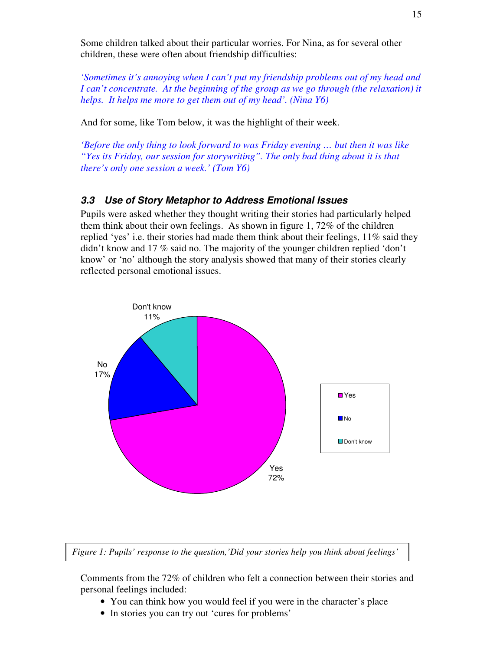Some children talked about their particular worries. For Nina, as for several other children, these were often about friendship difficulties:

*'Sometimes it's annoying when I can't put my friendship problems out of my head and I can't concentrate. At the beginning of the group as we go through (the relaxation) it helps. It helps me more to get them out of my head'. (Nina Y6)*

And for some, like Tom below, it was the highlight of their week.

*'Before the only thing to look forward to was Friday evening … but then it was like "Yes its Friday, our session for storywriting". The only bad thing about it is that there's only one session a week.' (Tom Y6)*

#### *3.3 Use of Story Metaphor to Address Emotional Issues*

Pupils were asked whether they thought writing their stories had particularly helped them think about their own feelings. As shown in figure 1, 72% of the children replied 'yes' i.e. their stories had made them think about their feelings, 11% said they didn't know and 17 % said no. The majority of the younger children replied 'don't know' or 'no' although the story analysis showed that many of their stories clearly reflected personal emotional issues.



*Figure 1: Pupils' response to the question,'Did your stories help you think about feelings'*

Comments from the 72% of children who felt a connection between their stories and personal feelings included:

- You can think how you would feel if you were in the character's place
- In stories you can try out 'cures for problems'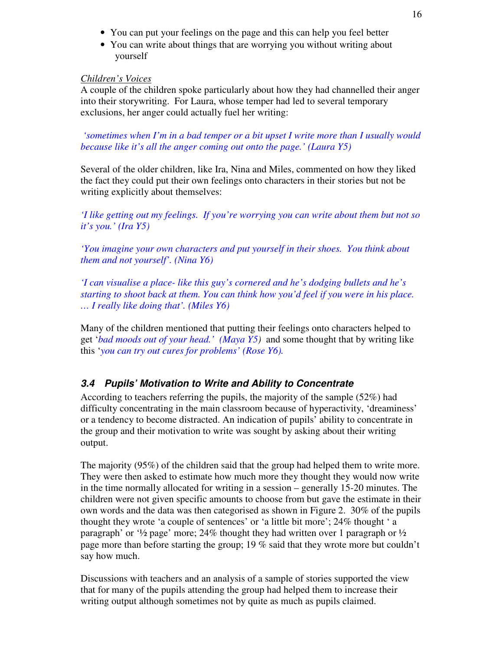- You can put your feelings on the page and this can help you feel better
- You can write about things that are worrying you without writing about yourself

#### *Children's Voices*

A couple of the children spoke particularly about how they had channelled their anger into their storywriting. For Laura, whose temper had led to several temporary exclusions, her anger could actually fuel her writing:

*'sometimes when I'm in a bad temper or a bit upset I write more than I usually would because like it's all the anger coming out onto the page.' (Laura Y5)*

Several of the older children, like Ira, Nina and Miles, commented on how they liked the fact they could put their own feelings onto characters in their stories but not be writing explicitly about themselves:

*'I like getting out my feelings. If you're worrying you can write about them but not so it's you.' (Ira Y5)*

*'You imagine your own characters and put yourself in their shoes. You think about them and not yourself'. (Nina Y6)*

*'I can visualise a place- like this guy's cornered and he's dodging bullets and he's starting to shoot back at them. You can think how you'd feel if you were in his place. … I really like doing that'. (Miles Y6)*

Many of the children mentioned that putting their feelings onto characters helped to get '*bad moods out of your head.' (Maya Y5)* and some thought that by writing like this '*you can try out cures for problems' (Rose Y6).*

# *3.4 Pupils' Motivation to Write and Ability to Concentrate*

According to teachers referring the pupils, the majority of the sample (52%) had difficulty concentrating in the main classroom because of hyperactivity, 'dreaminess' or a tendency to become distracted. An indication of pupils' ability to concentrate in the group and their motivation to write was sought by asking about their writing output.

The majority (95%) of the children said that the group had helped them to write more. They were then asked to estimate how much more they thought they would now write in the time normally allocated for writing in a session – generally 15-20 minutes. The children were not given specific amounts to choose from but gave the estimate in their own words and the data was then categorised as shown in Figure 2. 30% of the pupils thought they wrote 'a couple of sentences' or 'a little bit more'; 24% thought ' a paragraph' or '½ page' more; 24% thought they had written over 1 paragraph or ½ page more than before starting the group; 19 % said that they wrote more but couldn't say how much.

Discussions with teachers and an analysis of a sample of stories supported the view that for many of the pupils attending the group had helped them to increase their writing output although sometimes not by quite as much as pupils claimed.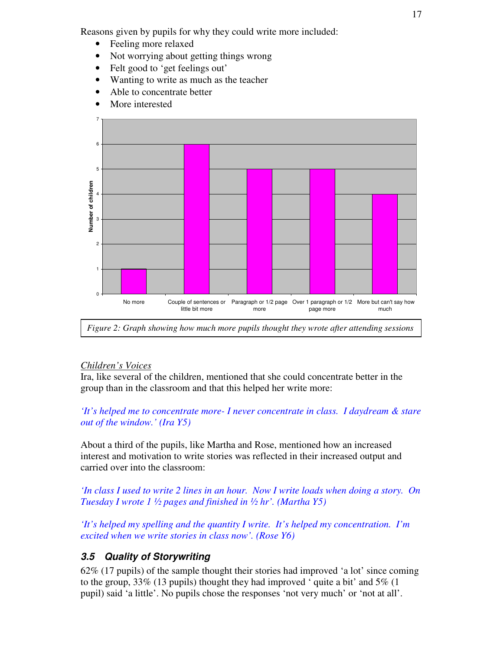Reasons given by pupils for why they could write more included:

- Feeling more relaxed
- Not worrying about getting things wrong
- Felt good to 'get feelings out'
- Wanting to write as much as the teacher
- Able to concentrate better
- More interested



*Figure 2: Graph showing how much more pupils thought they wrote after attending sessions*

### *Children's Voices*

Ira, like several of the children, mentioned that she could concentrate better in the group than in the classroom and that this helped her write more:

### *'It's helped me to concentrate more- I never concentrate in class. I daydream & stare out of the window.' (Ira Y5)*

About a third of the pupils, like Martha and Rose, mentioned how an increased interest and motivation to write stories was reflected in their increased output and carried over into the classroom:

'In class I used to write 2 lines in an hour. Now I write loads when doing a story. On *Tuesday I wrote 1 ½ pages and finished in ½ hr'. (Martha Y5)*

*'It's helped my spelling and the quantity I write. It's helped my concentration. I'm excited when we write stories in class now'. (Rose Y6)*

# *3.5 Quality of Storywriting*

62% (17 pupils) of the sample thought their stories had improved 'a lot' since coming to the group, 33% (13 pupils) thought they had improved ' quite a bit' and 5% (1 pupil) said 'a little'. No pupils chose the responses 'not very much' or 'not at all'.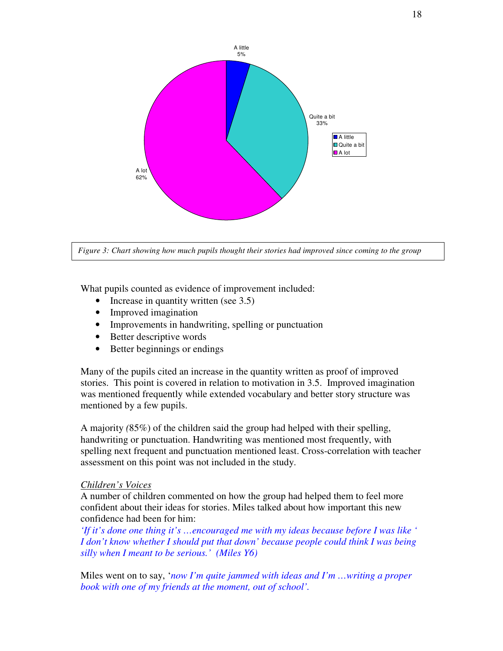



What pupils counted as evidence of improvement included:

- Increase in quantity written (see 3.5)
- Improved imagination
- Improvements in handwriting, spelling or punctuation
- Better descriptive words
- Better beginnings or endings

Many of the pupils cited an increase in the quantity written as proof of improved stories. This point is covered in relation to motivation in 3.5. Improved imagination was mentioned frequently while extended vocabulary and better story structure was mentioned by a few pupils.

A majority *(*85%) of the children said the group had helped with their spelling, handwriting or punctuation. Handwriting was mentioned most frequently, with spelling next frequent and punctuation mentioned least. Cross-correlation with teacher assessment on this point was not included in the study.

#### *Children's Voices*

A number of children commented on how the group had helped them to feel more confident about their ideas for stories. Miles talked about how important this new confidence had been for him:

*'If it's done one thing it's …encouraged me with my ideas because before I was like ' I don't know whether I should put that down' because people could think I was being silly when I meant to be serious.' (Miles Y6)*

Miles went on to say, '*now I'm quite jammed with ideas and I'm …writing a proper book with one of my friends at the moment, out of school'.*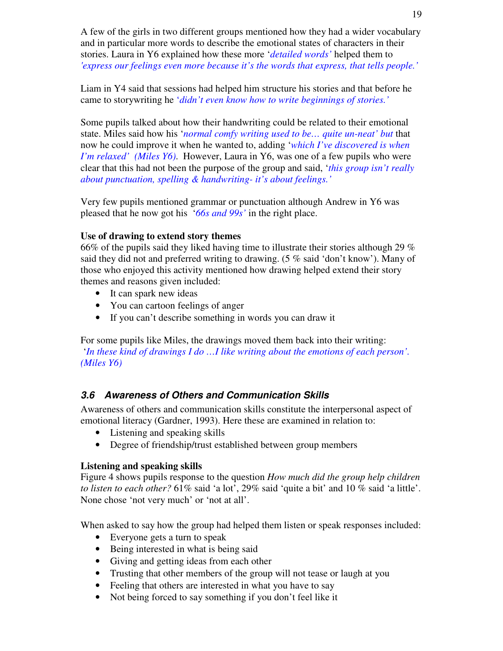A few of the girls in two different groups mentioned how they had a wider vocabulary and in particular more words to describe the emotional states of characters in their stories. Laura in Y6 explained how these more '*detailed words'* helped them to *'express our feelings even more because it's the words that express, that tells people.'*

Liam in Y4 said that sessions had helped him structure his stories and that before he came to storywriting he '*didn't even know how to write beginnings of stories.'*

Some pupils talked about how their handwriting could be related to their emotional state. Miles said how his '*normal comfy writing used to be… quite un-neat' but* that now he could improve it when he wanted to, adding '*which I've discovered is when I'm relaxed' (Miles Y6)*. However, Laura in Y6, was one of a few pupils who were clear that this had not been the purpose of the group and said, '*this group isn't really about punctuation, spelling & handwriting- it's about feelings.'*

Very few pupils mentioned grammar or punctuation although Andrew in Y6 was pleased that he now got his '*66s and 99s'* in the right place.

#### **Use of drawing to extend story themes**

66% of the pupils said they liked having time to illustrate their stories although 29 % said they did not and preferred writing to drawing. (5 % said 'don't know'). Many of those who enjoyed this activity mentioned how drawing helped extend their story themes and reasons given included:

- It can spark new ideas
- You can cartoon feelings of anger
- If you can't describe something in words you can draw it

For some pupils like Miles, the drawings moved them back into their writing: '*In these kind of drawings I do …I like writing about the emotions of each person'. (Miles Y6)*

### *3.6 Awareness of Others and Communication Skills*

Awareness of others and communication skills constitute the interpersonal aspect of emotional literacy (Gardner, 1993). Here these are examined in relation to:

- Listening and speaking skills
- Degree of friendship/trust established between group members

### **Listening and speaking skills**

Figure 4 shows pupils response to the question *How much did the group help children to listen to each other?* 61% said 'a lot', 29% said 'quite a bit' and 10 % said 'a little'. None chose 'not very much' or 'not at all'.

When asked to say how the group had helped them listen or speak responses included:

- Everyone gets a turn to speak
- Being interested in what is being said
- Giving and getting ideas from each other
- Trusting that other members of the group will not tease or laugh at you
- Feeling that others are interested in what you have to say
- Not being forced to say something if you don't feel like it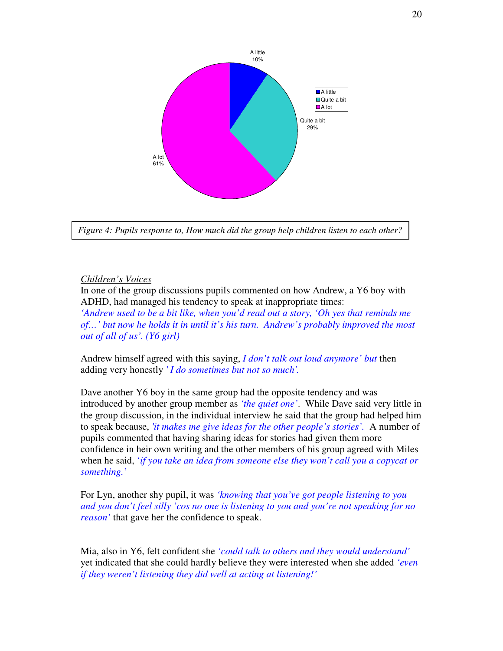



#### *Children's Voices*

In one of the group discussions pupils commented on how Andrew, a Y6 boy with ADHD, had managed his tendency to speak at inappropriate times:

*'Andrew used to be a bit like, when you'd read out a story, 'Oh yes that reminds me of…' but now he holds it in until it's his turn. Andrew's probably improved the most out of all of us'. (Y6 girl)*

Andrew himself agreed with this saying, *I don't talk out loud anymore' but* then adding very honestly *'I do sometimes but not so much'.*

Dave another Y6 boy in the same group had the opposite tendency and was introduced by another group member as *'the quiet one'*. While Dave said very little in the group discussion, in the individual interview he said that the group had helped him to speak because, *'it makes me give ideas for the other people's stories'.* A number of pupils commented that having sharing ideas for stories had given them more confidence in heir own writing and the other members of his group agreed with Miles when he said, '*if you take an idea from someone else they won't call you a copycat or something.'*

For Lyn, another shy pupil, it was *'knowing that you've got people listening to you and you don't feel silly 'cos no one is listening to you and you're not speaking for no reason'* that gave her the confidence to speak.

Mia, also in Y6, felt confident she *'could talk to others and they would understand'* yet indicated that she could hardly believe they were interested when she added *'even if they weren't listening they did well at acting at listening!'*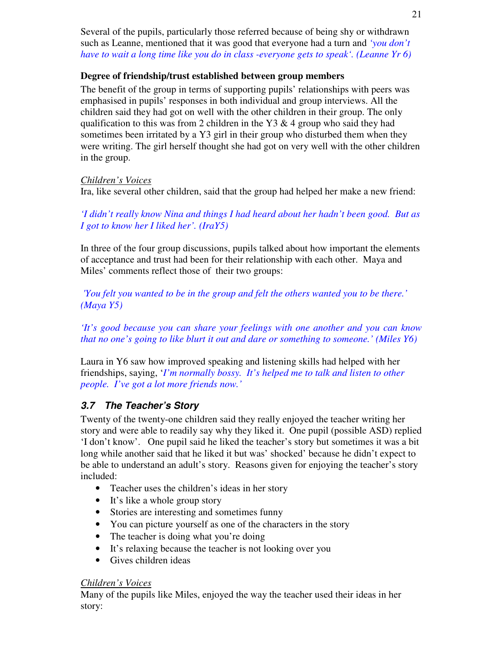Several of the pupils, particularly those referred because of being shy or withdrawn such as Leanne, mentioned that it was good that everyone had a turn and *'you don't have to wait a long time like you do in class -everyone gets to speak'. (Leanne Yr 6)*

### **Degree of friendship/trust established between group members**

The benefit of the group in terms of supporting pupils' relationships with peers was emphasised in pupils' responses in both individual and group interviews. All the children said they had got on well with the other children in their group. The only qualification to this was from 2 children in the Y3  $\&$  4 group who said they had sometimes been irritated by a Y3 girl in their group who disturbed them when they were writing. The girl herself thought she had got on very well with the other children in the group.

### *Children's Voices*

Ira, like several other children, said that the group had helped her make a new friend:

### *'I didn't really know Nina and things I had heard about her hadn't been good. But as I got to know her I liked her'. (IraY5)*

In three of the four group discussions, pupils talked about how important the elements of acceptance and trust had been for their relationship with each other. Maya and Miles' comments reflect those of their two groups:

*'You felt you wanted to be in the group and felt the others wanted you to be there.' (Maya Y5)*

*'It's good because you can share your feelings with one another and you can know that no one's going to like blurt it out and dare or something to someone.' (Miles Y6)*

Laura in Y6 saw how improved speaking and listening skills had helped with her friendships, saying, '*I'm normally bossy. It's helped me to talk and listen to other people. I've got a lot more friends now.'*

# *3.7 The Teacher's Story*

Twenty of the twenty-one children said they really enjoyed the teacher writing her story and were able to readily say why they liked it. One pupil (possible ASD) replied 'I don't know'. One pupil said he liked the teacher's story but sometimes it was a bit long while another said that he liked it but was' shocked' because he didn't expect to be able to understand an adult's story. Reasons given for enjoying the teacher's story included:

- Teacher uses the children's ideas in her story
- It's like a whole group story
- Stories are interesting and sometimes funny
- You can picture yourself as one of the characters in the story
- The teacher is doing what you're doing
- It's relaxing because the teacher is not looking over you
- Gives children ideas

### *Children's Voices*

Many of the pupils like Miles, enjoyed the way the teacher used their ideas in her story: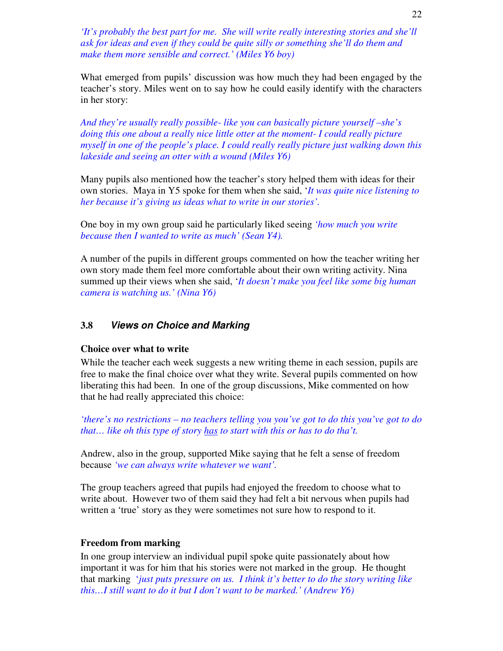*'It's probably the best part for me. She will write really interesting stories and she'll ask for ideas and even if they could be quite silly or something she'll do them and make them more sensible and correct.' (Miles Y6 boy)*

What emerged from pupils' discussion was how much they had been engaged by the teacher's story. Miles went on to say how he could easily identify with the characters in her story:

*And they're usually really possible- like you can basically picture yourself –she's doing this one about a really nice little otter at the moment- I could really picture myself in one of the people's place. I could really really picture just walking down this lakeside and seeing an otter with a wound (Miles Y6)*

Many pupils also mentioned how the teacher's story helped them with ideas for their own stories. Maya in Y5 spoke for them when she said, '*It was quite nice listening to her because it's giving us ideas what to write in our stories'.*

One boy in my own group said he particularly liked seeing *'how much you write because then I wanted to write as much' (Sean Y4).*

A number of the pupils in different groups commented on how the teacher writing her own story made them feel more comfortable about their own writing activity. Nina summed up their views when she said, '*It doesn't make you feel like some big human camera is watching us.' (Nina Y6)*

#### **3.8** *Views on Choice and Marking*

#### **Choice over what to write**

While the teacher each week suggests a new writing theme in each session, pupils are free to make the final choice over what they write. Several pupils commented on how liberating this had been. In one of the group discussions, Mike commented on how that he had really appreciated this choice:

*'there's no restrictions – no teachers telling you you've got to do this you've got to do that… like oh this type of story has to start with this or has to do tha't.*

Andrew, also in the group, supported Mike saying that he felt a sense of freedom because *'we can always write whatever we want'.*

The group teachers agreed that pupils had enjoyed the freedom to choose what to write about. However two of them said they had felt a bit nervous when pupils had written a 'true' story as they were sometimes not sure how to respond to it.

#### **Freedom from marking**

In one group interview an individual pupil spoke quite passionately about how important it was for him that his stories were not marked in the group. He thought that marking '*just puts pressure on us. I think it's better to do the story writing like this…I still want to do it but I don't want to be marked.' (Andrew Y6)*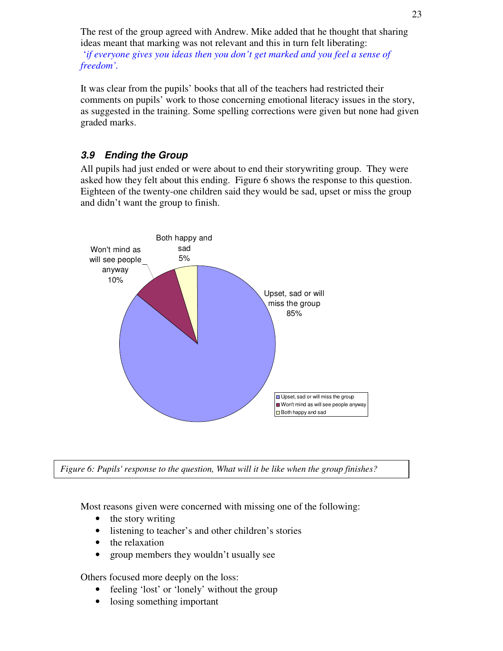The rest of the group agreed with Andrew. Mike added that he thought that sharing ideas meant that marking was not relevant and this in turn felt liberating: '*if everyone gives you ideas then you don't get marked and you feel a sense of freedom'.*

It was clear from the pupils' books that all of the teachers had restricted their comments on pupils' work to those concerning emotional literacy issues in the story, as suggested in the training. Some spelling corrections were given but none had given graded marks.

### *3.9 Ending the Group*

All pupils had just ended or were about to end their storywriting group. They were asked how they felt about this ending. Figure 6 shows the response to this question. Eighteen of the twenty-one children said they would be sad, upset or miss the group and didn't want the group to finish.



*Figure 6: Pupils'response to the question, What will it be like when the group finishes?*

Most reasons given were concerned with missing one of the following:

- the story writing
- listening to teacher's and other children's stories
- the relaxation
- group members they wouldn't usually see

Others focused more deeply on the loss:

- feeling 'lost' or 'lonely' without the group
- losing something important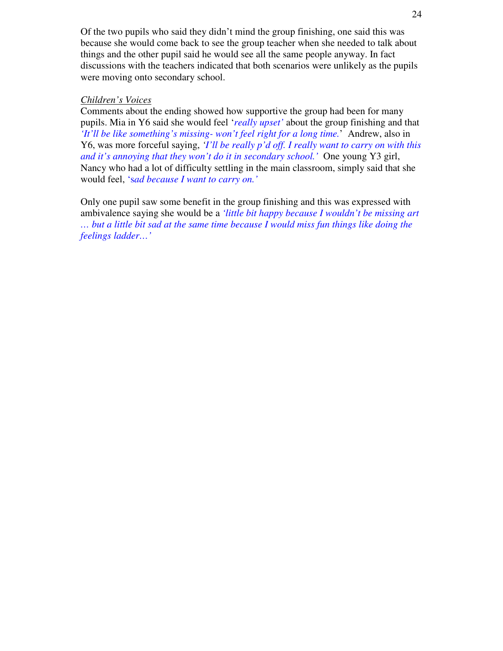Of the two pupils who said they didn't mind the group finishing, one said this was because she would come back to see the group teacher when she needed to talk about things and the other pupil said he would see all the same people anyway. In fact discussions with the teachers indicated that both scenarios were unlikely as the pupils were moving onto secondary school.

#### *Children's Voices*

Comments about the ending showed how supportive the group had been for many pupils. Mia in Y6 said she would feel '*really upset'* about the group finishing and that *'It'll be like something's missing- won't feel right for a long time.*' Andrew, also in Y6, was more forceful saying, *'I'll be really p'd off. I really want to carry on with this and it's annoying that they won't do it in secondary school.'* One young Y3 girl, Nancy who had a lot of difficulty settling in the main classroom, simply said that she would feel, 's*ad because I want to carry on.'*

Only one pupil saw some benefit in the group finishing and this was expressed with ambivalence saying she would be a *'little bit happy because I wouldn't be missing art … but a little bit sad at the same time because I would miss fun things like doing the feelings ladder…'*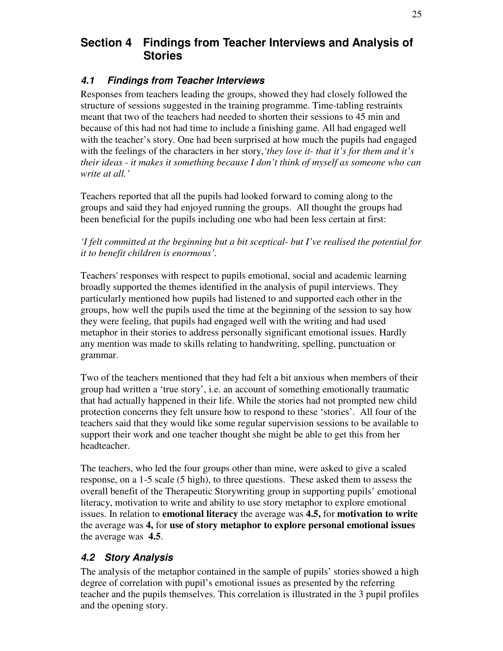# **Section 4 Findings from Teacher Interviews and Analysis of Stories**

### *4.1 Findings from Teacher Interviews*

Responses from teachers leading the groups, showed they had closely followed the structure of sessions suggested in the training programme. Time-tabling restraints meant that two of the teachers had needed to shorten their sessions to 45 min and because of this had not had time to include a finishing game. All had engaged well with the teacher's story. One had been surprised at how much the pupils had engaged with the feelings of the characters in her story,*'they love it- that it's for them and it's their ideas - it makes it something because I don't think of myself as someone who can write at all.'*

Teachers reported that all the pupils had looked forward to coming along to the groups and said they had enjoyed running the groups. All thought the groups had been beneficial for the pupils including one who had been less certain at first:

*'I felt committed at the beginning but a bit sceptical- but I've realised the potential for it to benefit children is enormous'.*

Teachers'responses with respect to pupils emotional, social and academic learning broadly supported the themes identified in the analysis of pupil interviews. They particularly mentioned how pupils had listened to and supported each other in the groups, how well the pupils used the time at the beginning of the session to say how they were feeling, that pupils had engaged well with the writing and had used metaphor in their stories to address personally significant emotional issues. Hardly any mention was made to skills relating to handwriting, spelling, punctuation or grammar.

Two of the teachers mentioned that they had felt a bit anxious when members of their group had written a 'true story', i.e. an account of something emotionally traumatic that had actually happened in their life. While the stories had not prompted new child protection concerns they felt unsure how to respond to these 'stories'. All four of the teachers said that they would like some regular supervision sessions to be available to support their work and one teacher thought she might be able to get this from her headteacher.

The teachers, who led the four groups other than mine, were asked to give a scaled response, on a 1-5 scale (5 high), to three questions. These asked them to assess the overall benefit of the Therapeutic Storywriting group in supporting pupils' emotional literacy, motivation to write and ability to use story metaphor to explore emotional issues. In relation to **emotional literacy** the average was **4.5,** for **motivation to write** the average was **4,** for **use of story metaphor to explore personal emotional issues** the average was **4.5**.

# *4.2 Story Analysis*

The analysis of the metaphor contained in the sample of pupils' stories showed a high degree of correlation with pupil's emotional issues as presented by the referring teacher and the pupils themselves. This correlation is illustrated in the 3 pupil profiles and the opening story.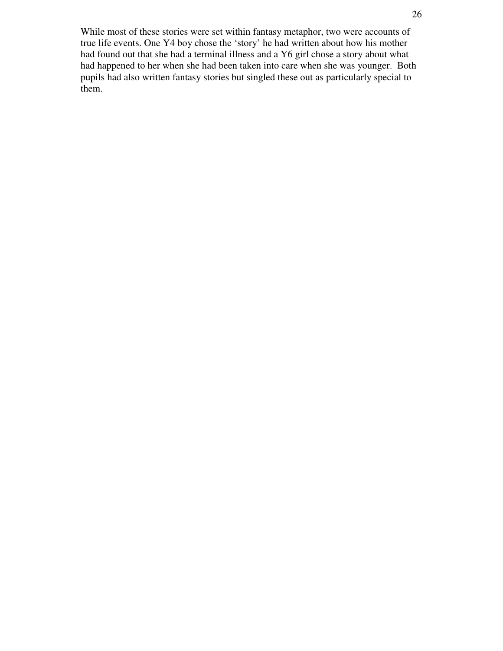While most of these stories were set within fantasy metaphor, two were accounts of true life events. One Y4 boy chose the 'story' he had written about how his mother had found out that she had a terminal illness and a Y6 girl chose a story about what had happened to her when she had been taken into care when she was younger. Both pupils had also written fantasy stories but singled these out as particularly special to them.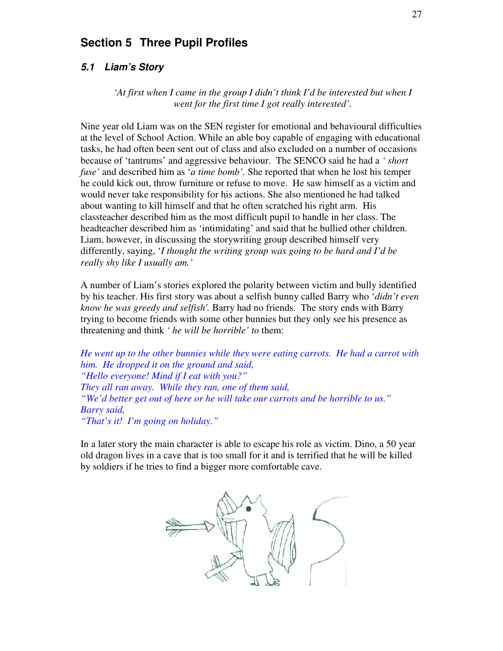# **Section 5 Three Pupil Profiles**

#### *5.1 Liam's Story*

*'At first when I came in the group I didn't think I'd be interested but when I went for the first time I got really interested'.*

Nine year old Liam was on the SEN register for emotional and behavioural difficulties at the level of School Action. While an able boy capable of engaging with educational tasks, he had often been sent out of class and also excluded on a number of occasions because of 'tantrums' and aggressive behaviour. The SENCO said he had a *' short fuse'* and described him as '*a time bomb'.* She reported that when he lost his temper he could kick out, throw furniture or refuse to move. He saw himself as a victim and would never take responsibility for his actions. She also mentioned he had talked about wanting to kill himself and that he often scratched his right arm. His classteacher described him as the most difficult pupil to handle in her class. The headteacher described him as 'intimidating' and said that he bullied other children. Liam, however, in discussing the storywriting group described himself very differently, saying, '*I thought the writing group was going to be hard and I'd be really shy like I usually am.'*

A number of Liam's stories explored the polarity between victim and bully identified by his teacher. His first story was about a selfish bunny called Barry who '*didn't even know he was greedy and selfish'.* Barry had no friends. The story ends with Barry trying to become friends with some other bunnies but they only see his presence as threatening and think *' he will be horrible' to* them:

*He went up to the other bunnies while they were eating carrots. He had a carrot with him. He dropped it on the ground and said, "Hello everyone! Mind if I eat with you?" They all ran away. While they ran, one of them said, "We'd better get out of here or he will take our carrots and be horrible to us." Barry said, "That's it! I'm going on holiday."*

In a later story the main character is able to escape his role as victim. Dino, a 50 year old dragon lives in a cave that is too small for it and is terrified that he will be killed by soldiers if he tries to find a bigger more comfortable cave.

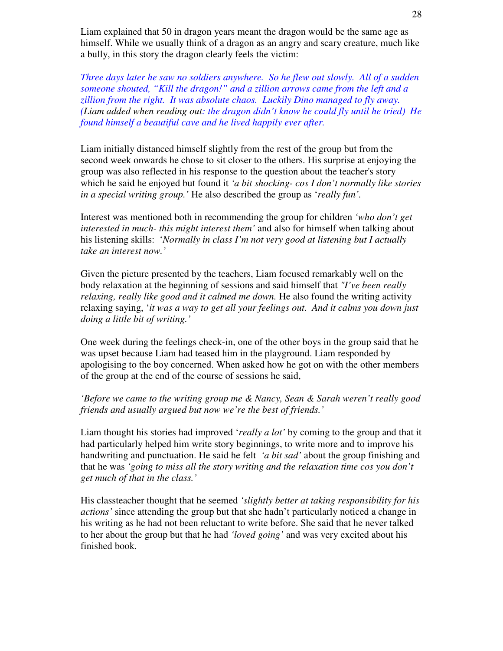Liam explained that 50 in dragon years meant the dragon would be the same age as himself. While we usually think of a dragon as an angry and scary creature, much like a bully, in this story the dragon clearly feels the victim:

*Three days later he saw no soldiers anywhere. So he flew out slowly. All of a sudden someone shouted, "Kill the dragon!" and a zillion arrows came from the left and a zillion from the right. It was absolute chaos. Luckily Dino managed to fly away. (Liam added when reading out: the dragon didn't know he could fly until he tried) He found himself a beautiful cave and he lived happily ever after.*

Liam initially distanced himself slightly from the rest of the group but from the second week onwards he chose to sit closer to the others. His surprise at enjoying the group was also reflected in his response to the question about the teacher's story which he said he enjoyed but found it *'a bit shocking- cos I don't normally like stories in a special writing group.'* He also described the group as '*really fun'.*

Interest was mentioned both in recommending the group for children *'who don't get interested in much- this might interest them'* and also for himself when talking about his listening skills: '*Normally in class I'm not very good at listening but I actually take an interest now.'*

Given the picture presented by the teachers, Liam focused remarkably well on the body relaxation at the beginning of sessions and said himself that *"I've been really relaxing, really like good and it calmed me down.* He also found the writing activity relaxing saying, '*it was a way to get all your feelings out. And it calms you down just doing a little bit of writing.'*

One week during the feelings check-in, one of the other boys in the group said that he was upset because Liam had teased him in the playground. Liam responded by apologising to the boy concerned. When asked how he got on with the other members of the group at the end of the course of sessions he said,

*'Before we came to the writing group me & Nancy, Sean & Sarah weren't really good friends and usually argued but now we're the best of friends.'*

Liam thought his stories had improved '*really a lot'* by coming to the group and that it had particularly helped him write story beginnings, to write more and to improve his handwriting and punctuation. He said he felt *'a bit sad'* about the group finishing and that he was *'going to miss all the story writing and the relaxation time cos you don't get much of that in the class.'*

His classteacher thought that he seemed *'slightly better at taking responsibility for his actions'* since attending the group but that she hadn't particularly noticed a change in his writing as he had not been reluctant to write before. She said that he never talked to her about the group but that he had *'loved going'* and was very excited about his finished book.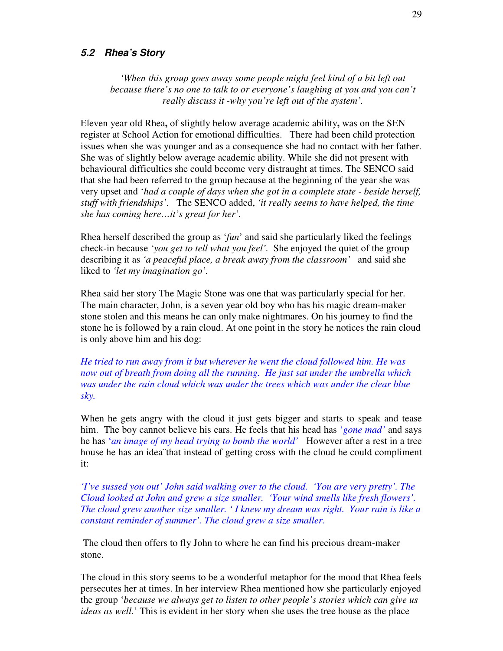#### *5.2 Rhea's Story*

*'When this group goes away some people might feel kind of a bit left out because there's no one to talk to or everyone's laughing at you and you can't really discuss it -why you're left out of the system'.*

Eleven year old Rhea**,** of slightly below average academic ability**,** was on the SEN register at School Action for emotional difficulties. There had been child protection issues when she was younger and as a consequence she had no contact with her father. She was of slightly below average academic ability. While she did not present with behavioural difficulties she could become very distraught at times. The SENCO said that she had been referred to the group because at the beginning of the year she was very upset and '*had a couple of days when she got in a complete state - beside herself, stuff with friendships'.* The SENCO added, *'it really seems to have helped, the time she has coming here…it's great for her'.*

Rhea herself described the group as '*fun*' and said she particularly liked the feelings check-in because *'you get to tell what you feel'.* She enjoyed the quiet of the group describing it as *'a peaceful place, a break away from the classroom'* and said she liked to *'let my imagination go'.*

Rhea said her story The Magic Stone was one that was particularly special for her. The main character, John, is a seven year old boy who has his magic dream-maker stone stolen and this means he can only make nightmares. On his journey to find the stone he is followed by a rain cloud. At one point in the story he notices the rain cloud is only above him and his dog:

*He tried to run away from it but wherever he went the cloud followed him. He was now out of breath from doing all the running. He just sat under the umbrella which was under the rain cloud which was under the trees which was under the clear blue sky.*

When he gets angry with the cloud it just gets bigger and starts to speak and tease him. The boy cannot believe his ears. He feels that his head has '*gone mad'* and says he has '*an image of my head trying to bomb the world'* However after a rest in a tree house he has an idea that instead of getting cross with the cloud he could compliment it:

*'I've sussed you out' John said walking over to the cloud. 'You are very pretty'. The Cloud looked at John and grew a size smaller. 'Your wind smells like fresh flowers'. The cloud grew another size smaller. ' I knew my dream was right. Your rain is like a constant reminder of summer'. The cloud grew a size smaller.*

The cloud then offers to fly John to where he can find his precious dream-maker stone.

The cloud in this story seems to be a wonderful metaphor for the mood that Rhea feels persecutes her at times. In her interview Rhea mentioned how she particularly enjoyed the group '*because we always get to listen to other people's stories which can give us ideas as well.*' This is evident in her story when she uses the tree house as the place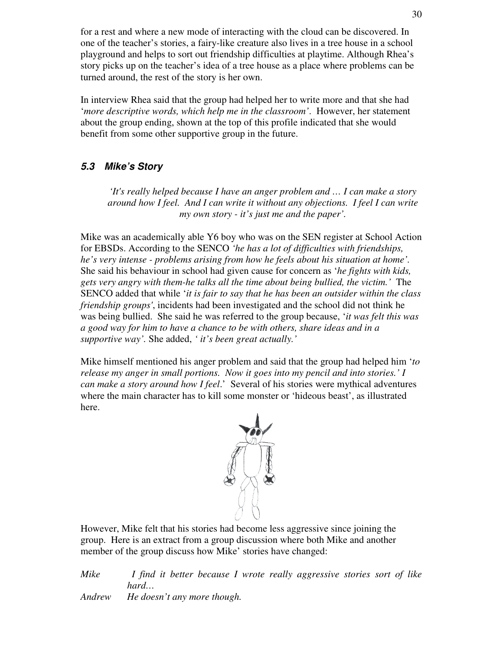for a rest and where a new mode of interacting with the cloud can be discovered. In one of the teacher's stories, a fairy-like creature also lives in a tree house in a school playground and helps to sort out friendship difficulties at playtime. Although Rhea's story picks up on the teacher's idea of a tree house as a place where problems can be turned around, the rest of the story is her own.

In interview Rhea said that the group had helped her to write more and that she had '*more descriptive words, which help me in the classroom'*. However, her statement about the group ending, shown at the top of this profile indicated that she would benefit from some other supportive group in the future.

### *5.3 Mike's Story*

*'It's really helped because I have an anger problem and … I can make a story around how I feel. And I can write it without any objections. I feel I can write my own story - it's just me and the paper'.*

Mike was an academically able Y6 boy who was on the SEN register at School Action for EBSDs. According to the SENCO *'he has a lot of difficulties with friendships, he's very intense - problems arising from how he feels about his situation at home'.* She said his behaviour in school had given cause for concern as '*he fights with kids, gets very angry with them-he talks all the time about being bullied, the victim.'* The SENCO added that while '*it is fair to say that he has been an outsider within the class friendship groups'*, incidents had been investigated and the school did not think he was being bullied. She said he was referred to the group because, '*it was felt this was a good way for him to have a chance to be with others, share ideas and in a supportive way'.* She added, *' it's been great actually.'*

Mike himself mentioned his anger problem and said that the group had helped him '*to release my anger in small portions. Now it goes into my pencil and into stories.' I can make a story around how I feel*.' Several of his stories were mythical adventures where the main character has to kill some monster or 'hideous beast', as illustrated here.



However, Mike felt that his stories had become less aggressive since joining the group. Here is an extract from a group discussion where both Mike and another member of the group discuss how Mike' stories have changed:

*Mike I find it better because I wrote really aggressive stories sort of like hard… Andrew He doesn't any more though.*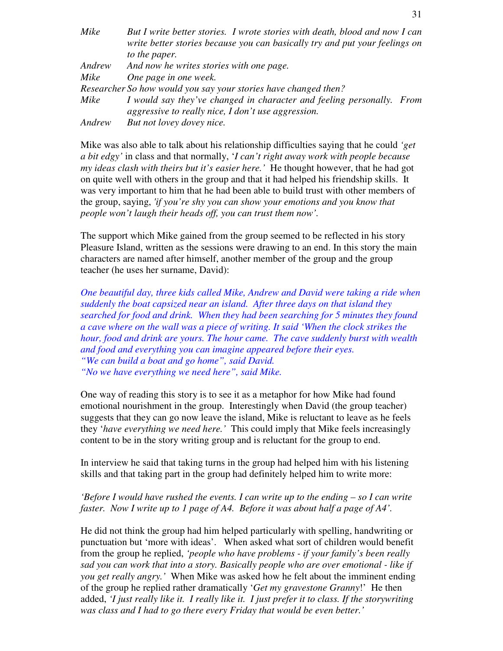| <b>Mike</b> | But I write better stories. I wrote stories with death, blood and now I can |
|-------------|-----------------------------------------------------------------------------|
|             | write better stories because you can basically try and put your feelings on |
|             | to the paper.                                                               |
| Andrew      | And now he writes stories with one page.                                    |
| Mike        | One page in one week.                                                       |
|             | Researcher So how would you say your stories have changed then?             |
| Mike        | I would say they've changed in character and feeling personally. From       |
|             | aggressive to really nice, I don't use aggression.                          |
| Andrew      | But not lovey dovey nice.                                                   |

Mike was also able to talk about his relationship difficulties saying that he could *'get a bit edgy'* in class and that normally, '*I can't right away work with people because my ideas clash with theirs but it's easier here.'* He thought however, that he had got on quite well with others in the group and that it had helped his friendship skills. It was very important to him that he had been able to build trust with other members of the group, saying, *'if you're shy you can show your emotions and you know that people won't laugh their heads off, you can trust them now'.*

The support which Mike gained from the group seemed to be reflected in his story Pleasure Island, written as the sessions were drawing to an end. In this story the main characters are named after himself, another member of the group and the group teacher (he uses her surname, David):

*One beautiful day, three kids called Mike, Andrew and David were taking a ride when suddenly the boat capsized near an island. After three days on that island they searched for food and drink. When they had been searching for 5 minutes they found a cave where on the wall was a piece of writing. It said 'When the clock strikes the hour, food and drink are yours. The hour came. The cave suddenly burst with wealth and food and everything you can imagine appeared before their eyes. "We can build a boat and go home", said David. "No we have everything we need here", said Mike.*

One way of reading this story is to see it as a metaphor for how Mike had found emotional nourishment in the group. Interestingly when David (the group teacher) suggests that they can go now leave the island, Mike is reluctant to leave as he feels they '*have everything we need here.'* This could imply that Mike feels increasingly content to be in the story writing group and is reluctant for the group to end.

In interview he said that taking turns in the group had helped him with his listening skills and that taking part in the group had definitely helped him to write more:

#### *'Before I would have rushed the events. I can write up to the ending – so I can write faster. Now I write up to 1 page of A4. Before it was about half a page of A4'.*

He did not think the group had him helped particularly with spelling, handwriting or punctuation but 'more with ideas'. When asked what sort of children would benefit from the group he replied, *'people who have problems - if your family's been really sad you can work that into a story. Basically people who are over emotional - like if you get really angry.'* When Mike was asked how he felt about the imminent ending of the group he replied rather dramatically '*Get my gravestone Granny*!' He then added, *'I just really like it. I really like it. I just prefer it to class. If the storywriting was class and I had to go there every Friday that would be even better.'*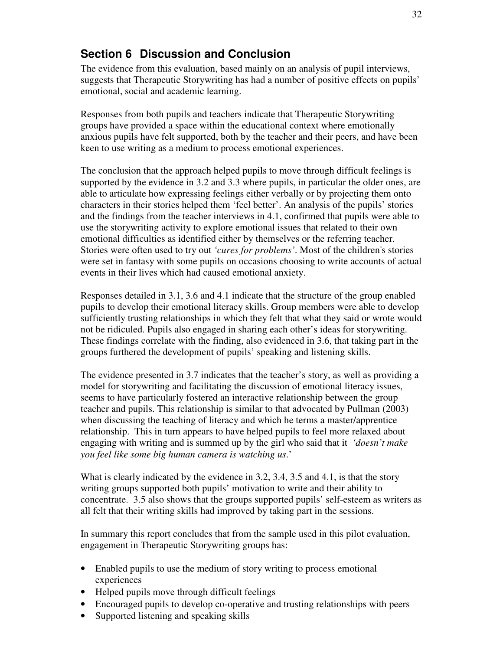# **Section 6 Discussion and Conclusion**

The evidence from this evaluation, based mainly on an analysis of pupil interviews, suggests that Therapeutic Storywriting has had a number of positive effects on pupils' emotional, social and academic learning.

Responses from both pupils and teachers indicate that Therapeutic Storywriting groups have provided a space within the educational context where emotionally anxious pupils have felt supported, both by the teacher and their peers, and have been keen to use writing as a medium to process emotional experiences.

The conclusion that the approach helped pupils to move through difficult feelings is supported by the evidence in 3.2 and 3.3 where pupils, in particular the older ones, are able to articulate how expressing feelings either verbally or by projecting them onto characters in their stories helped them 'feel better'. An analysis of the pupils' stories and the findings from the teacher interviews in 4.1, confirmed that pupils were able to use the storywriting activity to explore emotional issues that related to their own emotional difficulties as identified either by themselves or the referring teacher. Stories were often used to try out *'cures for problems'*. Most of the children's stories were set in fantasy with some pupils on occasions choosing to write accounts of actual events in their lives which had caused emotional anxiety.

Responses detailed in 3.1, 3.6 and 4.1 indicate that the structure of the group enabled pupils to develop their emotional literacy skills. Group members were able to develop sufficiently trusting relationships in which they felt that what they said or wrote would not be ridiculed. Pupils also engaged in sharing each other's ideas for storywriting. These findings correlate with the finding, also evidenced in 3.6, that taking part in the groups furthered the development of pupils' speaking and listening skills.

The evidence presented in 3.7 indicates that the teacher's story, as well as providing a model for storywriting and facilitating the discussion of emotional literacy issues, seems to have particularly fostered an interactive relationship between the group teacher and pupils. This relationship is similar to that advocated by Pullman (2003) when discussing the teaching of literacy and which he terms a master/apprentice relationship. This in turn appears to have helped pupils to feel more relaxed about engaging with writing and is summed up by the girl who said that it *'doesn't make you feel like some big human camera is watching us*.'

What is clearly indicated by the evidence in 3.2, 3.4, 3.5 and 4.1, is that the story writing groups supported both pupils' motivation to write and their ability to concentrate. 3.5 also shows that the groups supported pupils' self-esteem as writers as all felt that their writing skills had improved by taking part in the sessions.

In summary this report concludes that from the sample used in this pilot evaluation, engagement in Therapeutic Storywriting groups has:

- Enabled pupils to use the medium of story writing to process emotional experiences
- Helped pupils move through difficult feelings
- Encouraged pupils to develop co-operative and trusting relationships with peers
- Supported listening and speaking skills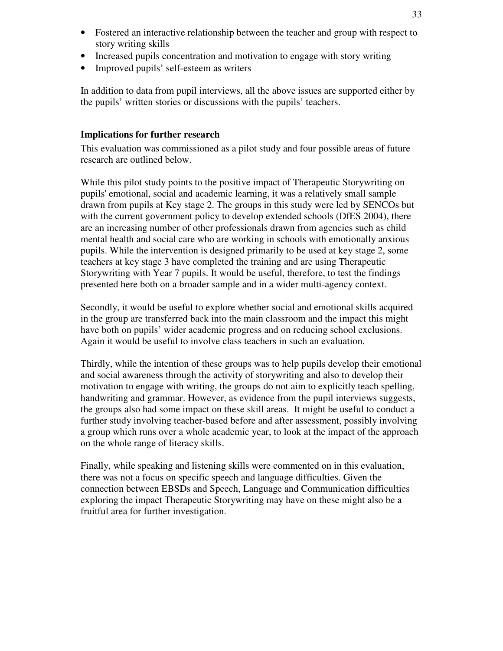- Fostered an interactive relationship between the teacher and group with respect to story writing skills
- Increased pupils concentration and motivation to engage with story writing
- Improved pupils' self-esteem as writers

In addition to data from pupil interviews, all the above issues are supported either by the pupils' written stories or discussions with the pupils' teachers.

#### **Implications for further research**

This evaluation was commissioned as a pilot study and four possible areas of future research are outlined below.

While this pilot study points to the positive impact of Therapeutic Storywriting on pupils'emotional, social and academic learning, it was a relatively small sample drawn from pupils at Key stage 2. The groups in this study were led by SENCOs but with the current government policy to develop extended schools (DfES 2004), there are an increasing number of other professionals drawn from agencies such as child mental health and social care who are working in schools with emotionally anxious pupils. While the intervention is designed primarily to be used at key stage 2, some teachers at key stage 3 have completed the training and are using Therapeutic Storywriting with Year 7 pupils. It would be useful, therefore, to test the findings presented here both on a broader sample and in a wider multi-agency context.

Secondly, it would be useful to explore whether social and emotional skills acquired in the group are transferred back into the main classroom and the impact this might have both on pupils' wider academic progress and on reducing school exclusions. Again it would be useful to involve class teachers in such an evaluation.

Thirdly, while the intention of these groups was to help pupils develop their emotional and social awareness through the activity of storywriting and also to develop their motivation to engage with writing, the groups do not aim to explicitly teach spelling, handwriting and grammar. However, as evidence from the pupil interviews suggests, the groups also had some impact on these skill areas. It might be useful to conduct a further study involving teacher-based before and after assessment, possibly involving a group which runs over a whole academic year, to look at the impact of the approach on the whole range of literacy skills.

Finally, while speaking and listening skills were commented on in this evaluation, there was not a focus on specific speech and language difficulties. Given the connection between EBSDs and Speech, Language and Communication difficulties exploring the impact Therapeutic Storywriting may have on these might also be a fruitful area for further investigation.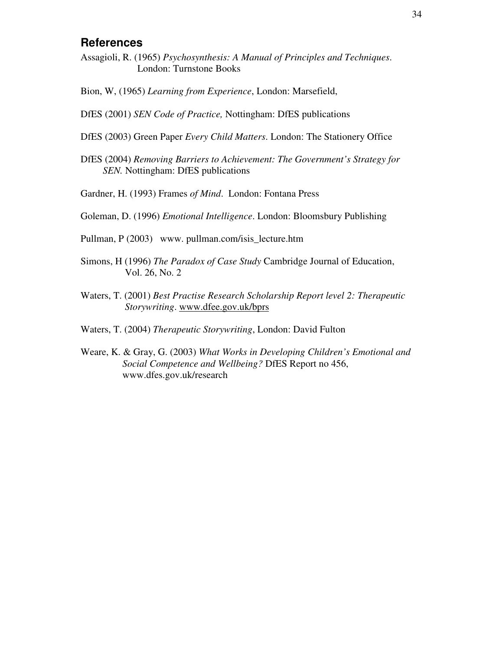### **References**

- Assagioli, R. (1965) *Psychosynthesis: A Manual of Principles and Techniques*. London: Turnstone Books
- Bion, W, (1965) *Learning from Experience*, London: Marsefield,
- DfES (2001) *SEN Code of Practice,* Nottingham: DfES publications
- DfES (2003) Green Paper *Every Child Matters*. London: The Stationery Office
- DfES (2004) *Removing Barriers to Achievement: The Government's Strategy for SEN.* Nottingham: DfES publications
- Gardner, H. (1993) Frames *of Mind*. London: Fontana Press
- Goleman, D. (1996) *Emotional Intelligence*. London: Bloomsbury Publishing
- Pullman, P (2003) www. pullman.com/isis\_lecture.htm
- Simons, H (1996) *The Paradox of Case Study* Cambridge Journal of Education, Vol. 26, No. 2
- Waters, T. (2001) *Best Practise Research Scholarship Report level 2: Therapeutic Storywriting*. www.dfee.gov.uk/bprs
- Waters, T. (2004) *Therapeutic Storywriting*, London: David Fulton
- Weare, K. & Gray, G. (2003) *What Works in Developing Children's Emotional and Social Competence and Wellbeing?* DfES Report no 456, www.dfes.gov.uk/research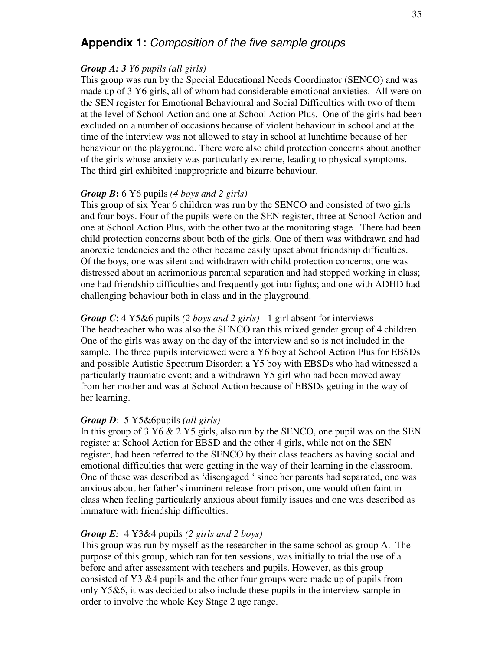# **Appendix 1:** *Composition of the five sample groups*

#### *Group A: 3 Y6 pupils (all girls)*

This group was run by the Special Educational Needs Coordinator (SENCO) and was made up of 3 Y6 girls, all of whom had considerable emotional anxieties. All were on the SEN register for Emotional Behavioural and Social Difficulties with two of them at the level of School Action and one at School Action Plus. One of the girls had been excluded on a number of occasions because of violent behaviour in school and at the time of the interview was not allowed to stay in school at lunchtime because of her behaviour on the playground. There were also child protection concerns about another of the girls whose anxiety was particularly extreme, leading to physical symptoms. The third girl exhibited inappropriate and bizarre behaviour.

#### *Group B***:** 6 Y6 pupils *(4 boys and 2 girls)*

This group of six Year 6 children was run by the SENCO and consisted of two girls and four boys. Four of the pupils were on the SEN register, three at School Action and one at School Action Plus, with the other two at the monitoring stage. There had been child protection concerns about both of the girls. One of them was withdrawn and had anorexic tendencies and the other became easily upset about friendship difficulties. Of the boys, one was silent and withdrawn with child protection concerns; one was distressed about an acrimonious parental separation and had stopped working in class; one had friendship difficulties and frequently got into fights; and one with ADHD had challenging behaviour both in class and in the playground.

*Group C*: 4 Y5&6 pupils *(2 boys and 2 girls)* - 1 girl absent for interviews The headteacher who was also the SENCO ran this mixed gender group of 4 children. One of the girls was away on the day of the interview and so is not included in the sample. The three pupils interviewed were a Y6 boy at School Action Plus for EBSDs and possible Autistic Spectrum Disorder; a Y5 boy with EBSDs who had witnessed a particularly traumatic event; and a withdrawn Y5 girl who had been moved away from her mother and was at School Action because of EBSDs getting in the way of her learning.

#### *Group D*: 5 Y5&6pupils *(all girls)*

In this group of 3 Y6  $\&$  2 Y5 girls, also run by the SENCO, one pupil was on the SEN register at School Action for EBSD and the other 4 girls, while not on the SEN register, had been referred to the SENCO by their class teachers as having social and emotional difficulties that were getting in the way of their learning in the classroom. One of these was described as 'disengaged ' since her parents had separated, one was anxious about her father's imminent release from prison, one would often faint in class when feeling particularly anxious about family issues and one was described as immature with friendship difficulties.

#### *Group E:* 4 Y3&4 pupils *(2 girls and 2 boys)*

This group was run by myself as the researcher in the same school as group A. The purpose of this group, which ran for ten sessions, was initially to trial the use of a before and after assessment with teachers and pupils. However, as this group consisted of Y3 &4 pupils and the other four groups were made up of pupils from only Y5&6, it was decided to also include these pupils in the interview sample in order to involve the whole Key Stage 2 age range.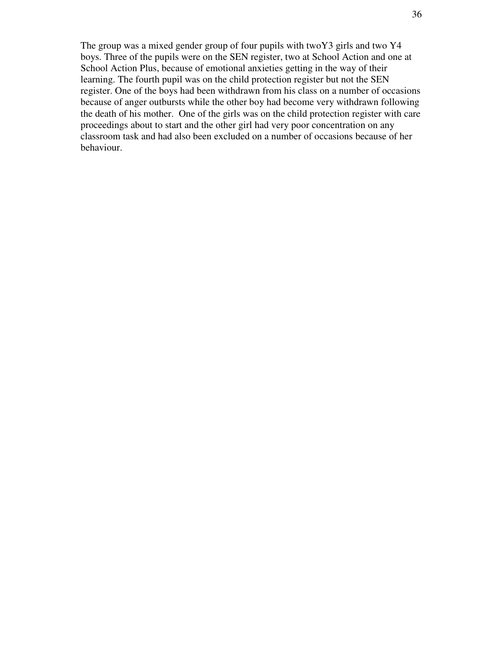The group was a mixed gender group of four pupils with twoY3 girls and two Y4 boys. Three of the pupils were on the SEN register, two at School Action and one at School Action Plus, because of emotional anxieties getting in the way of their learning. The fourth pupil was on the child protection register but not the SEN register. One of the boys had been withdrawn from his class on a number of occasions because of anger outbursts while the other boy had become very withdrawn following the death of his mother. One of the girls was on the child protection register with care proceedings about to start and the other girl had very poor concentration on any classroom task and had also been excluded on a number of occasions because of her behaviour.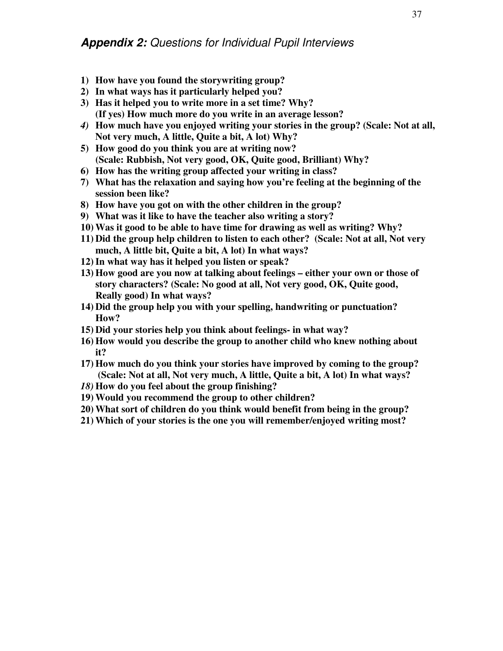- **1) How have you found the storywriting group?**
- **2) In what ways has it particularly helped you?**
- **3) Has it helped you to write more in a set time? Why? (If yes) How much more do you write in an average lesson?**
- *4)* **How much have you enjoyed writing your stories in the group? (Scale: Not at all, Not very much, A little, Quite a bit, A lot) Why?**
- **5) How good do you think you are at writing now? (Scale: Rubbish, Not very good, OK, Quite good, Brilliant) Why?**
- **6) How has the writing group affected your writing in class?**
- **7) What has the relaxation and saying how you're feeling at the beginning of the session been like?**
- **8) How have you got on with the other children in the group?**
- **9) What was it like to have the teacher also writing a story?**
- **10) Was it good to be able to have time for drawing as well as writing? Why?**
- **11) Did the group help children to listen to each other? (Scale: Not at all, Not very much, A little bit, Quite a bit, A lot) In what ways?**
- **12)In what way has it helped you listen or speak?**
- **13) How good are you now at talking about feelings – either your own or those of story characters? (Scale: No good at all, Not very good, OK, Quite good, Really good) In what ways?**
- **14) Did the group help you with your spelling, handwriting or punctuation? How?**
- **15) Did your stories help you think about feelings- in what way?**
- **16) How would you describe the group to another child who knew nothing about it?**
- **17) How much do you think your stories have improved by coming to the group? (Scale: Not at all, Not very much, A little, Quite a bit, A lot) In what ways?**
- *18)* **How do you feel about the group finishing?**
- **19) Would you recommend the group to other children?**
- **20) What sort of children do you think would benefit from being in the group?**
- **21) Which of your stories is the one you will remember/enjoyed writing most?**